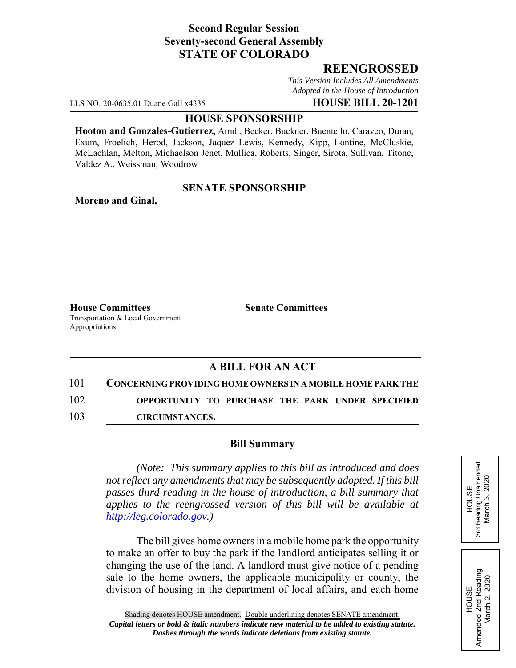## **Second Regular Session Seventy-second General Assembly STATE OF COLORADO**

## **REENGROSSED**

*This Version Includes All Amendments Adopted in the House of Introduction*

LLS NO. 20-0635.01 Duane Gall x4335 **HOUSE BILL 20-1201**

#### **HOUSE SPONSORSHIP**

**Hooton and Gonzales-Gutierrez,** Arndt, Becker, Buckner, Buentello, Caraveo, Duran, Exum, Froelich, Herod, Jackson, Jaquez Lewis, Kennedy, Kipp, Lontine, McCluskie, McLachlan, Melton, Michaelson Jenet, Mullica, Roberts, Singer, Sirota, Sullivan, Titone, Valdez A., Weissman, Woodrow

#### **SENATE SPONSORSHIP**

**Moreno and Ginal,**

**House Committees Senate Committees** Transportation & Local Government Appropriations

# **A BILL FOR AN ACT**

## 101 **CONCERNING PROVIDING HOME OWNERS IN A MOBILE HOME PARK THE**

102 **OPPORTUNITY TO PURCHASE THE PARK UNDER SPECIFIED**

103 **CIRCUMSTANCES.**

#### **Bill Summary**

*(Note: This summary applies to this bill as introduced and does not reflect any amendments that may be subsequently adopted. If this bill passes third reading in the house of introduction, a bill summary that applies to the reengrossed version of this bill will be available at http://leg.colorado.gov.)*

The bill gives home owners in a mobile home park the opportunity to make an offer to buy the park if the landlord anticipates selling it or changing the use of the land. A landlord must give notice of a pending sale to the home owners, the applicable municipality or county, the division of housing in the department of local affairs, and each home HOUSE<br>Reading Unamended<br>March 3, 2020 3rd Reading Unamended March 3, 2020 3rd

HOUSE Amended 2nd Reading March 2, 2020

Amended 2nd Reading<br>March 2, 2020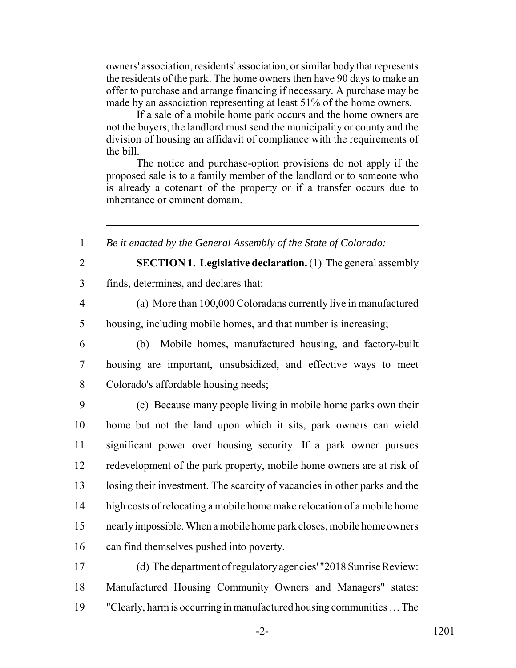owners' association, residents' association, or similar body that represents the residents of the park. The home owners then have 90 days to make an offer to purchase and arrange financing if necessary. A purchase may be made by an association representing at least 51% of the home owners.

If a sale of a mobile home park occurs and the home owners are not the buyers, the landlord must send the municipality or county and the division of housing an affidavit of compliance with the requirements of the bill.

The notice and purchase-option provisions do not apply if the proposed sale is to a family member of the landlord or to someone who is already a cotenant of the property or if a transfer occurs due to inheritance or eminent domain.

1 *Be it enacted by the General Assembly of the State of Colorado:*

- 
- 

2 **SECTION 1. Legislative declaration.** (1) The general assembly

3 finds, determines, and declares that:

4 (a) More than 100,000 Coloradans currently live in manufactured 5 housing, including mobile homes, and that number is increasing;

6 (b) Mobile homes, manufactured housing, and factory-built 7 housing are important, unsubsidized, and effective ways to meet 8 Colorado's affordable housing needs;

 (c) Because many people living in mobile home parks own their home but not the land upon which it sits, park owners can wield significant power over housing security. If a park owner pursues redevelopment of the park property, mobile home owners are at risk of losing their investment. The scarcity of vacancies in other parks and the high costs of relocating a mobile home make relocation of a mobile home nearly impossible. When a mobile home park closes, mobile home owners can find themselves pushed into poverty.

17 (d) The department of regulatory agencies' "2018 Sunrise Review: 18 Manufactured Housing Community Owners and Managers" states: 19 "Clearly, harm is occurring in manufactured housing communities … The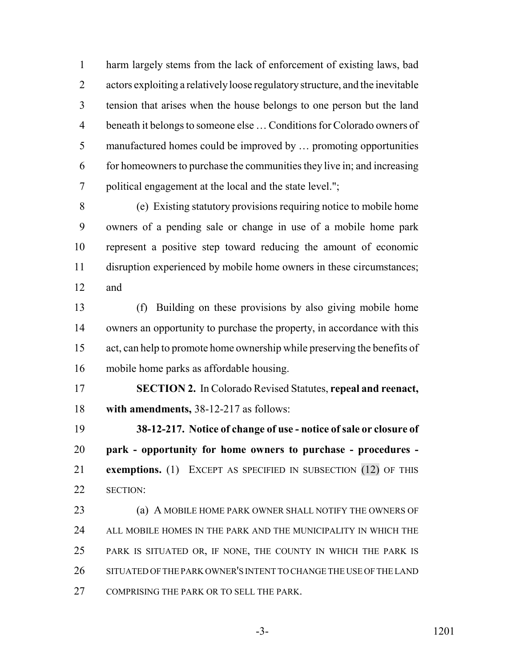harm largely stems from the lack of enforcement of existing laws, bad actors exploiting a relatively loose regulatory structure, and the inevitable tension that arises when the house belongs to one person but the land beneath it belongs to someone else … Conditions for Colorado owners of manufactured homes could be improved by … promoting opportunities for homeowners to purchase the communities they live in; and increasing political engagement at the local and the state level.";

 (e) Existing statutory provisions requiring notice to mobile home owners of a pending sale or change in use of a mobile home park represent a positive step toward reducing the amount of economic disruption experienced by mobile home owners in these circumstances; and

 (f) Building on these provisions by also giving mobile home owners an opportunity to purchase the property, in accordance with this act, can help to promote home ownership while preserving the benefits of mobile home parks as affordable housing.

 **SECTION 2.** In Colorado Revised Statutes, **repeal and reenact, with amendments,** 38-12-217 as follows:

 **38-12-217. Notice of change of use - notice of sale or closure of park - opportunity for home owners to purchase - procedures - exemptions.** (1) EXCEPT AS SPECIFIED IN SUBSECTION (12) OF THIS SECTION:

**(a) A MOBILE HOME PARK OWNER SHALL NOTIFY THE OWNERS OF**  ALL MOBILE HOMES IN THE PARK AND THE MUNICIPALITY IN WHICH THE PARK IS SITUATED OR, IF NONE, THE COUNTY IN WHICH THE PARK IS SITUATED OF THE PARK OWNER'S INTENT TO CHANGE THE USE OF THE LAND COMPRISING THE PARK OR TO SELL THE PARK.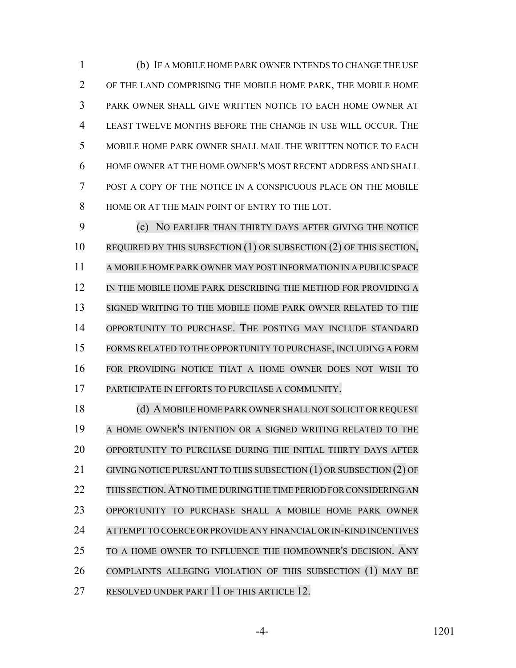(b) IF A MOBILE HOME PARK OWNER INTENDS TO CHANGE THE USE OF THE LAND COMPRISING THE MOBILE HOME PARK, THE MOBILE HOME PARK OWNER SHALL GIVE WRITTEN NOTICE TO EACH HOME OWNER AT LEAST TWELVE MONTHS BEFORE THE CHANGE IN USE WILL OCCUR. THE MOBILE HOME PARK OWNER SHALL MAIL THE WRITTEN NOTICE TO EACH HOME OWNER AT THE HOME OWNER'S MOST RECENT ADDRESS AND SHALL POST A COPY OF THE NOTICE IN A CONSPICUOUS PLACE ON THE MOBILE HOME OR AT THE MAIN POINT OF ENTRY TO THE LOT.

 (c) NO EARLIER THAN THIRTY DAYS AFTER GIVING THE NOTICE 10 REQUIRED BY THIS SUBSECTION (1) OR SUBSECTION (2) OF THIS SECTION, A MOBILE HOME PARK OWNER MAY POST INFORMATION IN A PUBLIC SPACE 12 IN THE MOBILE HOME PARK DESCRIBING THE METHOD FOR PROVIDING A SIGNED WRITING TO THE MOBILE HOME PARK OWNER RELATED TO THE OPPORTUNITY TO PURCHASE. THE POSTING MAY INCLUDE STANDARD FORMS RELATED TO THE OPPORTUNITY TO PURCHASE, INCLUDING A FORM FOR PROVIDING NOTICE THAT A HOME OWNER DOES NOT WISH TO PARTICIPATE IN EFFORTS TO PURCHASE A COMMUNITY.

18 (d) A MOBILE HOME PARK OWNER SHALL NOT SOLICIT OR REQUEST A HOME OWNER'S INTENTION OR A SIGNED WRITING RELATED TO THE OPPORTUNITY TO PURCHASE DURING THE INITIAL THIRTY DAYS AFTER 21 GIVING NOTICE PURSUANT TO THIS SUBSECTION (1) OR SUBSECTION (2) OF 22 THIS SECTION. AT NO TIME DURING THE TIME PERIOD FOR CONSIDERING AN OPPORTUNITY TO PURCHASE SHALL A MOBILE HOME PARK OWNER ATTEMPT TO COERCE OR PROVIDE ANY FINANCIAL OR IN-KIND INCENTIVES TO A HOME OWNER TO INFLUENCE THE HOMEOWNER'S DECISION. ANY COMPLAINTS ALLEGING VIOLATION OF THIS SUBSECTION (1) MAY BE RESOLVED UNDER PART 11 OF THIS ARTICLE 12.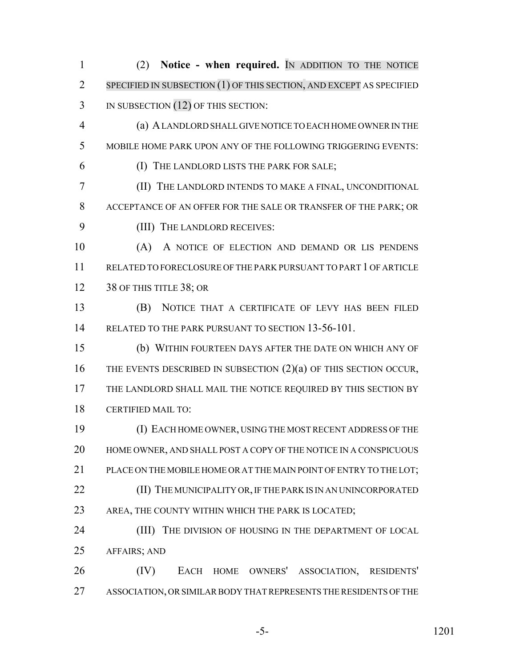(2) **Notice - when required.** IN ADDITION TO THE NOTICE SPECIFIED IN SUBSECTION (1) OF THIS SECTION, AND EXCEPT AS SPECIFIED 3 IN SUBSECTION (12) OF THIS SECTION: (a) A LANDLORD SHALL GIVE NOTICE TO EACH HOME OWNER IN THE MOBILE HOME PARK UPON ANY OF THE FOLLOWING TRIGGERING EVENTS: (I) THE LANDLORD LISTS THE PARK FOR SALE; (II) THE LANDLORD INTENDS TO MAKE A FINAL, UNCONDITIONAL ACCEPTANCE OF AN OFFER FOR THE SALE OR TRANSFER OF THE PARK; OR (III) THE LANDLORD RECEIVES: (A) A NOTICE OF ELECTION AND DEMAND OR LIS PENDENS RELATED TO FORECLOSURE OF THE PARK PURSUANT TO PART 1 OF ARTICLE 12 38 OF THIS TITLE 38; OR (B) NOTICE THAT A CERTIFICATE OF LEVY HAS BEEN FILED 14 RELATED TO THE PARK PURSUANT TO SECTION 13-56-101. (b) WITHIN FOURTEEN DAYS AFTER THE DATE ON WHICH ANY OF 16 THE EVENTS DESCRIBED IN SUBSECTION (2)(a) OF THIS SECTION OCCUR, THE LANDLORD SHALL MAIL THE NOTICE REQUIRED BY THIS SECTION BY CERTIFIED MAIL TO: (I) EACH HOME OWNER, USING THE MOST RECENT ADDRESS OF THE HOME OWNER, AND SHALL POST A COPY OF THE NOTICE IN A CONSPICUOUS PLACE ON THE MOBILE HOME OR AT THE MAIN POINT OF ENTRY TO THE LOT; **(II)** THE MUNICIPALITY OR, IF THE PARK IS IN AN UNINCORPORATED AREA, THE COUNTY WITHIN WHICH THE PARK IS LOCATED; **(III)** THE DIVISION OF HOUSING IN THE DEPARTMENT OF LOCAL AFFAIRS; AND (IV) EACH HOME OWNERS' ASSOCIATION, RESIDENTS' ASSOCIATION, OR SIMILAR BODY THAT REPRESENTS THE RESIDENTS OF THE

-5- 1201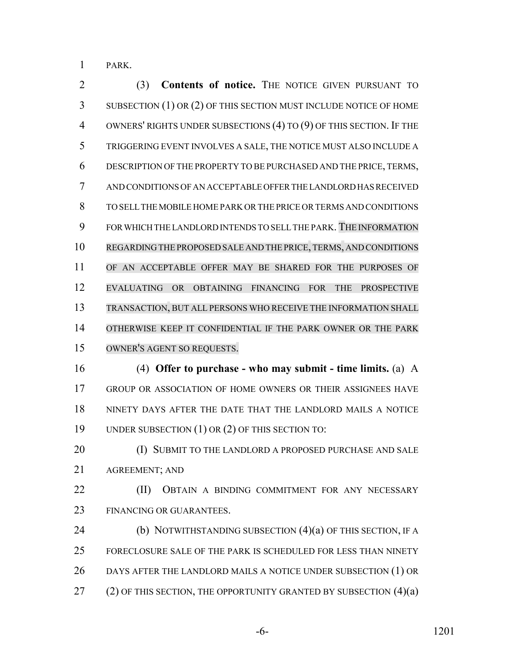PARK.

 (3) **Contents of notice.** THE NOTICE GIVEN PURSUANT TO SUBSECTION (1) OR (2) OF THIS SECTION MUST INCLUDE NOTICE OF HOME OWNERS' RIGHTS UNDER SUBSECTIONS (4) TO (9) OF THIS SECTION. IF THE TRIGGERING EVENT INVOLVES A SALE, THE NOTICE MUST ALSO INCLUDE A DESCRIPTION OF THE PROPERTY TO BE PURCHASED AND THE PRICE, TERMS, AND CONDITIONS OF AN ACCEPTABLE OFFER THE LANDLORD HAS RECEIVED TO SELL THE MOBILE HOME PARK OR THE PRICE OR TERMS AND CONDITIONS FOR WHICH THE LANDLORD INTENDS TO SELL THE PARK. THE INFORMATION REGARDING THE PROPOSED SALE AND THE PRICE,TERMS, AND CONDITIONS OF AN ACCEPTABLE OFFER MAY BE SHARED FOR THE PURPOSES OF EVALUATING OR OBTAINING FINANCING FOR THE PROSPECTIVE TRANSACTION, BUT ALL PERSONS WHO RECEIVE THE INFORMATION SHALL OTHERWISE KEEP IT CONFIDENTIAL IF THE PARK OWNER OR THE PARK OWNER'S AGENT SO REQUESTS. (4) **Offer to purchase - who may submit - time limits.** (a) A GROUP OR ASSOCIATION OF HOME OWNERS OR THEIR ASSIGNEES HAVE NINETY DAYS AFTER THE DATE THAT THE LANDLORD MAILS A NOTICE UNDER SUBSECTION (1) OR (2) OF THIS SECTION TO:

**(I) SUBMIT TO THE LANDLORD A PROPOSED PURCHASE AND SALE** AGREEMENT; AND

**(II)** OBTAIN A BINDING COMMITMENT FOR ANY NECESSARY FINANCING OR GUARANTEES.

**(b) NOTWITHSTANDING SUBSECTION (4)(a) OF THIS SECTION, IF A**  FORECLOSURE SALE OF THE PARK IS SCHEDULED FOR LESS THAN NINETY DAYS AFTER THE LANDLORD MAILS A NOTICE UNDER SUBSECTION (1) OR  $(2)$  OF THIS SECTION, THE OPPORTUNITY GRANTED BY SUBSECTION  $(4)(a)$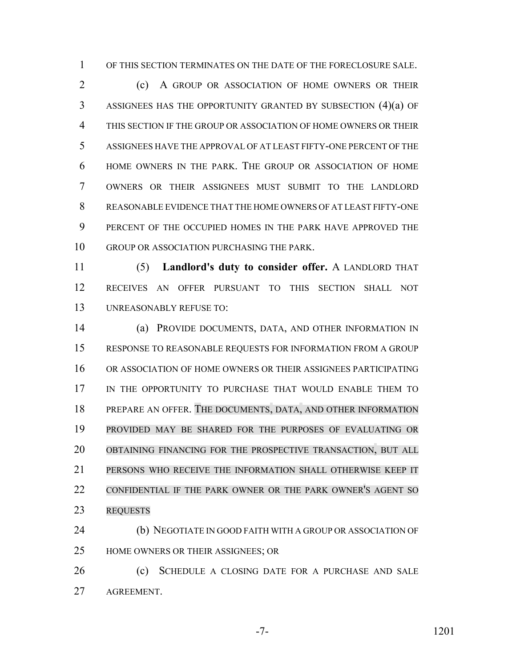OF THIS SECTION TERMINATES ON THE DATE OF THE FORECLOSURE SALE.

 (c) A GROUP OR ASSOCIATION OF HOME OWNERS OR THEIR ASSIGNEES HAS THE OPPORTUNITY GRANTED BY SUBSECTION (4)(a) OF THIS SECTION IF THE GROUP OR ASSOCIATION OF HOME OWNERS OR THEIR ASSIGNEES HAVE THE APPROVAL OF AT LEAST FIFTY-ONE PERCENT OF THE HOME OWNERS IN THE PARK. THE GROUP OR ASSOCIATION OF HOME OWNERS OR THEIR ASSIGNEES MUST SUBMIT TO THE LANDLORD REASONABLE EVIDENCE THAT THE HOME OWNERS OF AT LEAST FIFTY-ONE PERCENT OF THE OCCUPIED HOMES IN THE PARK HAVE APPROVED THE GROUP OR ASSOCIATION PURCHASING THE PARK.

 (5) **Landlord's duty to consider offer.** A LANDLORD THAT RECEIVES AN OFFER PURSUANT TO THIS SECTION SHALL NOT UNREASONABLY REFUSE TO:

 (a) PROVIDE DOCUMENTS, DATA, AND OTHER INFORMATION IN RESPONSE TO REASONABLE REQUESTS FOR INFORMATION FROM A GROUP OR ASSOCIATION OF HOME OWNERS OR THEIR ASSIGNEES PARTICIPATING IN THE OPPORTUNITY TO PURCHASE THAT WOULD ENABLE THEM TO PREPARE AN OFFER. THE DOCUMENTS, DATA, AND OTHER INFORMATION PROVIDED MAY BE SHARED FOR THE PURPOSES OF EVALUATING OR OBTAINING FINANCING FOR THE PROSPECTIVE TRANSACTION, BUT ALL PERSONS WHO RECEIVE THE INFORMATION SHALL OTHERWISE KEEP IT 22 CONFIDENTIAL IF THE PARK OWNER OR THE PARK OWNER'S AGENT SO REQUESTS

 (b) NEGOTIATE IN GOOD FAITH WITH A GROUP OR ASSOCIATION OF HOME OWNERS OR THEIR ASSIGNEES; OR

26 (c) SCHEDULE A CLOSING DATE FOR A PURCHASE AND SALE AGREEMENT.

-7- 1201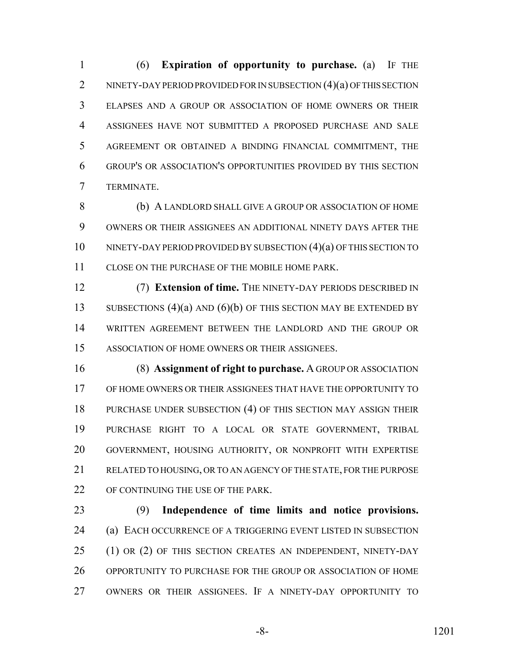(6) **Expiration of opportunity to purchase.** (a) IF THE 2 NINETY-DAY PERIOD PROVIDED FOR IN SUBSECTION (4)(a) OF THIS SECTION ELAPSES AND A GROUP OR ASSOCIATION OF HOME OWNERS OR THEIR ASSIGNEES HAVE NOT SUBMITTED A PROPOSED PURCHASE AND SALE AGREEMENT OR OBTAINED A BINDING FINANCIAL COMMITMENT, THE GROUP'S OR ASSOCIATION'S OPPORTUNITIES PROVIDED BY THIS SECTION TERMINATE.

 (b) A LANDLORD SHALL GIVE A GROUP OR ASSOCIATION OF HOME OWNERS OR THEIR ASSIGNEES AN ADDITIONAL NINETY DAYS AFTER THE NINETY-DAY PERIOD PROVIDED BY SUBSECTION (4)(a) OF THIS SECTION TO CLOSE ON THE PURCHASE OF THE MOBILE HOME PARK.

 (7) **Extension of time.** THE NINETY-DAY PERIODS DESCRIBED IN 13 SUBSECTIONS (4)(a) AND (6)(b) OF THIS SECTION MAY BE EXTENDED BY WRITTEN AGREEMENT BETWEEN THE LANDLORD AND THE GROUP OR ASSOCIATION OF HOME OWNERS OR THEIR ASSIGNEES.

 (8) **Assignment of right to purchase.** A GROUP OR ASSOCIATION OF HOME OWNERS OR THEIR ASSIGNEES THAT HAVE THE OPPORTUNITY TO PURCHASE UNDER SUBSECTION (4) OF THIS SECTION MAY ASSIGN THEIR PURCHASE RIGHT TO A LOCAL OR STATE GOVERNMENT, TRIBAL GOVERNMENT, HOUSING AUTHORITY, OR NONPROFIT WITH EXPERTISE RELATED TO HOUSING, OR TO AN AGENCY OF THE STATE, FOR THE PURPOSE 22 OF CONTINUING THE USE OF THE PARK.

 (9) **Independence of time limits and notice provisions.** (a) EACH OCCURRENCE OF A TRIGGERING EVENT LISTED IN SUBSECTION 25 (1) OR (2) OF THIS SECTION CREATES AN INDEPENDENT, NINETY-DAY OPPORTUNITY TO PURCHASE FOR THE GROUP OR ASSOCIATION OF HOME OWNERS OR THEIR ASSIGNEES. IF A NINETY-DAY OPPORTUNITY TO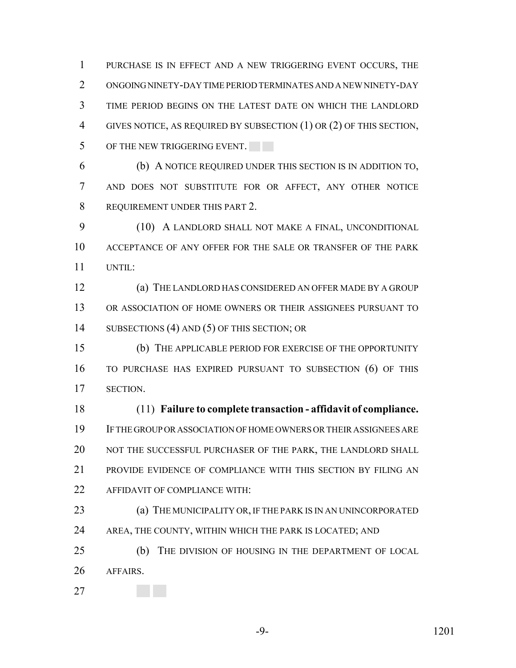PURCHASE IS IN EFFECT AND A NEW TRIGGERING EVENT OCCURS, THE ONGOING NINETY-DAY TIME PERIOD TERMINATES AND A NEW NINETY-DAY TIME PERIOD BEGINS ON THE LATEST DATE ON WHICH THE LANDLORD GIVES NOTICE, AS REQUIRED BY SUBSECTION (1) OR (2) OF THIS SECTION, 5 OF THE NEW TRIGGERING EVENT.

 (b) A NOTICE REQUIRED UNDER THIS SECTION IS IN ADDITION TO, AND DOES NOT SUBSTITUTE FOR OR AFFECT, ANY OTHER NOTICE REQUIREMENT UNDER THIS PART 2.

9 (10) A LANDLORD SHALL NOT MAKE A FINAL, UNCONDITIONAL ACCEPTANCE OF ANY OFFER FOR THE SALE OR TRANSFER OF THE PARK UNTIL:

 (a) THE LANDLORD HAS CONSIDERED AN OFFER MADE BY A GROUP OR ASSOCIATION OF HOME OWNERS OR THEIR ASSIGNEES PURSUANT TO 14 SUBSECTIONS (4) AND (5) OF THIS SECTION; OR

 (b) THE APPLICABLE PERIOD FOR EXERCISE OF THE OPPORTUNITY TO PURCHASE HAS EXPIRED PURSUANT TO SUBSECTION (6) OF THIS SECTION.

 (11) **Failure to complete transaction - affidavit of compliance.** IF THE GROUP OR ASSOCIATION OF HOME OWNERS OR THEIR ASSIGNEES ARE NOT THE SUCCESSFUL PURCHASER OF THE PARK, THE LANDLORD SHALL PROVIDE EVIDENCE OF COMPLIANCE WITH THIS SECTION BY FILING AN AFFIDAVIT OF COMPLIANCE WITH:

 (a) THE MUNICIPALITY OR, IF THE PARK IS IN AN UNINCORPORATED AREA, THE COUNTY, WITHIN WHICH THE PARK IS LOCATED; AND

 (b) THE DIVISION OF HOUSING IN THE DEPARTMENT OF LOCAL AFFAIRS.

-9- 1201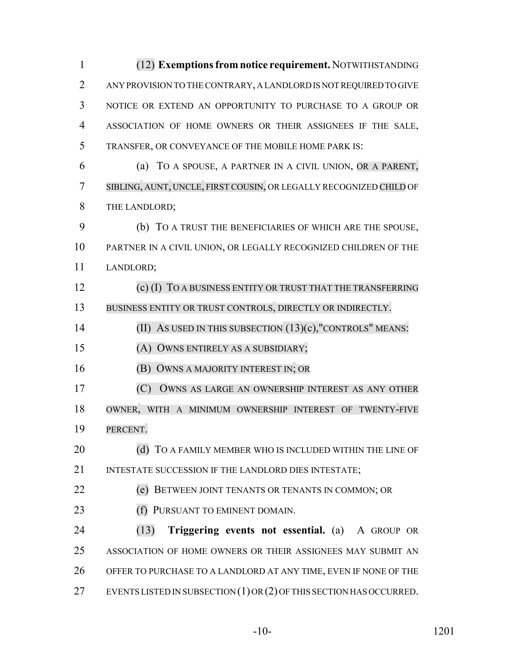(12) **Exemptions from notice requirement.** NOTWITHSTANDING ANY PROVISION TO THE CONTRARY, A LANDLORD IS NOT REQUIRED TO GIVE NOTICE OR EXTEND AN OPPORTUNITY TO PURCHASE TO A GROUP OR ASSOCIATION OF HOME OWNERS OR THEIR ASSIGNEES IF THE SALE, TRANSFER, OR CONVEYANCE OF THE MOBILE HOME PARK IS: (a) TO A SPOUSE, A PARTNER IN A CIVIL UNION, OR A PARENT, SIBLING, AUNT, UNCLE, FIRST COUSIN, OR LEGALLY RECOGNIZED CHILD OF THE LANDLORD;

 (b) TO A TRUST THE BENEFICIARIES OF WHICH ARE THE SPOUSE, PARTNER IN A CIVIL UNION, OR LEGALLY RECOGNIZED CHILDREN OF THE LANDLORD;

 (c) (I) TO A BUSINESS ENTITY OR TRUST THAT THE TRANSFERRING BUSINESS ENTITY OR TRUST CONTROLS, DIRECTLY OR INDIRECTLY.

(II) AS USED IN THIS SUBSECTION (13)(c),"CONTROLS" MEANS:

(A) OWNS ENTIRELY AS A SUBSIDIARY;

(B) OWNS A MAJORITY INTEREST IN; OR

 (C) OWNS AS LARGE AN OWNERSHIP INTEREST AS ANY OTHER OWNER, WITH A MINIMUM OWNERSHIP INTEREST OF TWENTY-FIVE

PERCENT.

20 (d) TO A FAMILY MEMBER WHO IS INCLUDED WITHIN THE LINE OF 21 INTESTATE SUCCESSION IF THE LANDLORD DIES INTESTATE;

(e) BETWEEN JOINT TENANTS OR TENANTS IN COMMON; OR

23 (f) PURSUANT TO EMINENT DOMAIN.

 (13) **Triggering events not essential.** (a) A GROUP OR ASSOCIATION OF HOME OWNERS OR THEIR ASSIGNEES MAY SUBMIT AN OFFER TO PURCHASE TO A LANDLORD AT ANY TIME, EVEN IF NONE OF THE EVENTS LISTED IN SUBSECTION (1) OR (2) OF THIS SECTION HAS OCCURRED.